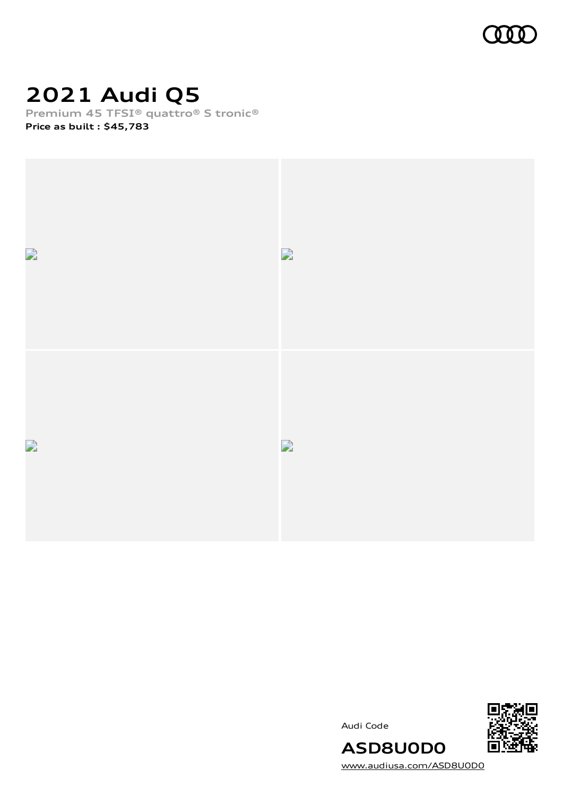

# **2021 Audi Q5**

**Premium 45 TFSI® quattro® S tronic®**

**Price as built [:](#page-10-0) \$45,783**



Audi Code



[www.audiusa.com/ASD8U0D0](https://www.audiusa.com/ASD8U0D0)

**ASD8U0D0**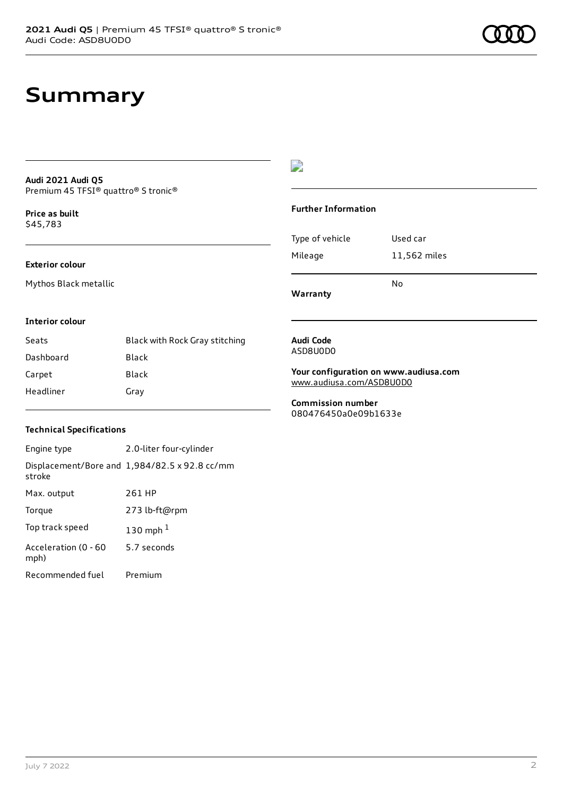## **Summary**

#### **Audi 2021 Audi Q5** Premium 45 TFSI® quattro® S tronic®

**Price as buil[t](#page-10-0)** \$45,783

#### **Exterior colour**

Mythos Black metallic

### $\overline{\phantom{a}}$

#### **Further Information**

|                 | N٥           |
|-----------------|--------------|
| Mileage         | 11,562 miles |
| Type of vehicle | Used car     |

**Warranty**

#### **Interior colour**

| Seats     | Black with Rock Gray stitching |
|-----------|--------------------------------|
| Dashboard | Black                          |
| Carpet    | Black                          |
| Headliner | Gray                           |

#### **Audi Code** ASD8U0D0

**Your configuration on www.audiusa.com** [www.audiusa.com/ASD8U0D0](https://www.audiusa.com/ASD8U0D0)

**Commission number** 080476450a0e09b1633e

#### **Technical Specifications**

| Engine type                  | 2.0-liter four-cylinder                       |
|------------------------------|-----------------------------------------------|
| stroke                       | Displacement/Bore and 1,984/82.5 x 92.8 cc/mm |
| Max. output                  | 261 HP                                        |
| Torque                       | 273 lb-ft@rpm                                 |
| Top track speed              | 130 mph $1$                                   |
| Acceleration (0 - 60<br>mph) | 5.7 seconds                                   |
| Recommended fuel             | Premium                                       |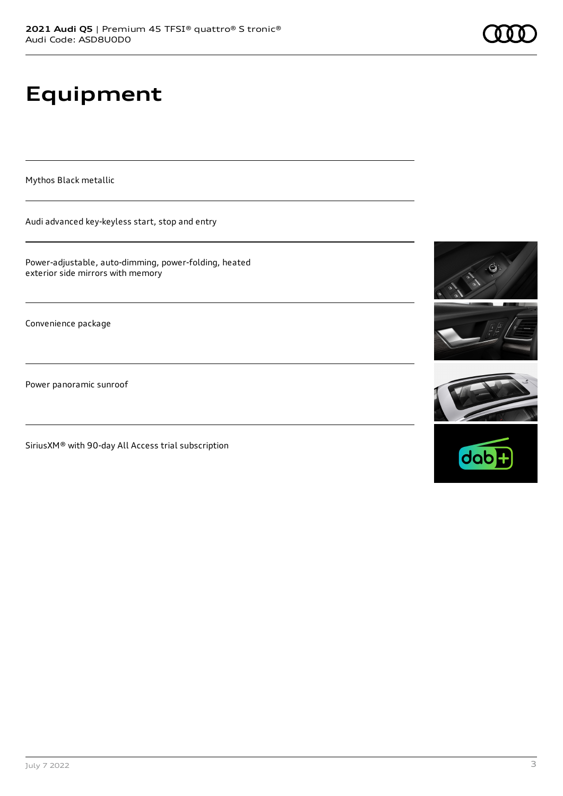# **Equipment**

Mythos Black metallic

Audi advanced key-keyless start, stop and entry

Power-adjustable, auto-dimming, power-folding, heated exterior side mirrors with memory

Convenience package

Power panoramic sunroof

SiriusXM® with 90-day All Access trial subscription





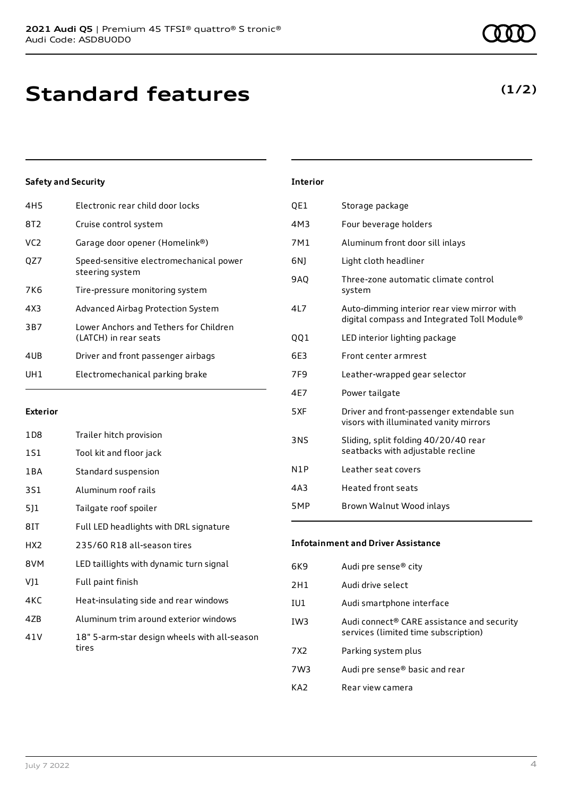| 4H <sub>5</sub> | Electronic rear child door locks                                |
|-----------------|-----------------------------------------------------------------|
| 8T2             | Cruise control system                                           |
| VC <sub>2</sub> | Garage door opener (Homelink®)                                  |
| OZ7             | Speed-sensitive electromechanical power<br>steering system      |
| 7K6             | Tire-pressure monitoring system                                 |
| 4X3             | Advanced Airbag Protection System                               |
| 3B7             | Lower Anchors and Tethers for Children<br>(LATCH) in rear seats |
| 4UB             | Driver and front passenger airbags                              |
| UH1             | Electromechanical parking brake                                 |
|                 |                                                                 |

#### **Exterior**

| 1D8   | Trailer hitch provision                               |
|-------|-------------------------------------------------------|
| 1S1   | Tool kit and floor jack                               |
| 1 B A | Standard suspension                                   |
| 3S1   | Aluminum roof rails                                   |
| 5]1   | Tailgate roof spoiler                                 |
| 8IT   | Full LED headlights with DRL signature                |
| HX2   | 235/60 R18 all-season tires                           |
| 8VM   | LED taillights with dynamic turn signal               |
| VJ1   | Full paint finish                                     |
| 4KC   | Heat-insulating side and rear windows                 |
| 4ZB   | Aluminum trim around exterior windows                 |
| 41 V  | 18" 5-arm-star design wheels with all-season<br>tires |

| <b>Interior</b> |                                                                                            |
|-----------------|--------------------------------------------------------------------------------------------|
| QE1             | Storage package                                                                            |
| 4M3             | Four beverage holders                                                                      |
| 7M1             | Aluminum front door sill inlays                                                            |
| 6N)             | Light cloth headliner                                                                      |
| 9AQ             | Three-zone automatic climate control<br>system                                             |
| 4L7             | Auto-dimming interior rear view mirror with<br>digital compass and Integrated Toll Module® |
| 001             | LED interior lighting package                                                              |
| 6E3             | Front center armrest                                                                       |
| 7F9             | Leather-wrapped gear selector                                                              |
| 4E7             | Power tailgate                                                                             |
| 5XF             | Driver and front-passenger extendable sun<br>visors with illuminated vanity mirrors        |
| 3NS             | Sliding, split folding 40/20/40 rear<br>seatbacks with adjustable recline                  |
| N1P             | Leather seat covers                                                                        |
| 4A3             | <b>Heated front seats</b>                                                                  |
| 5MP             | Brown Walnut Wood inlays                                                                   |

#### **Infotainment and Driver Assistance**

| 6K9 | Audi pre sense <sup>®</sup> city                                                   |
|-----|------------------------------------------------------------------------------------|
| 2H1 | Audi drive select                                                                  |
| IU1 | Audi smartphone interface                                                          |
| IW3 | Audi connect® CARE assistance and security<br>services (limited time subscription) |
| 7X2 | Parking system plus                                                                |
| 7W3 | Audi pre sense <sup>®</sup> basic and rear                                         |
| KA7 | Rear view camera                                                                   |

### **(1/2)**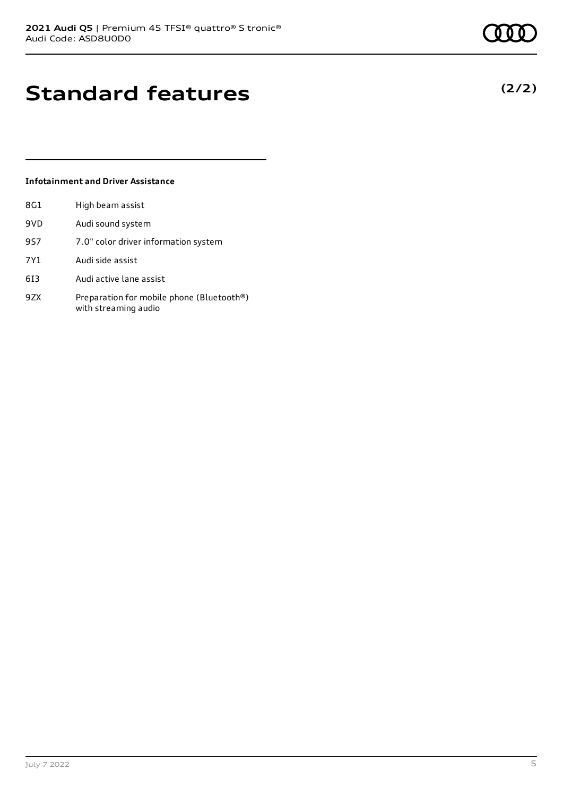**(2/2)**

## **Standard features**

#### **Infotainment and Driver Assistance**

| 8G1 | High beam assist                                                  |
|-----|-------------------------------------------------------------------|
| 9VD | Audi sound system                                                 |
| 9S7 | 7.0" color driver information system                              |
| 7Y1 | Audi side assist                                                  |
| 613 | Audi active lane assist                                           |
| 9ZX | Preparation for mobile phone (Bluetooth®)<br>with streaming audio |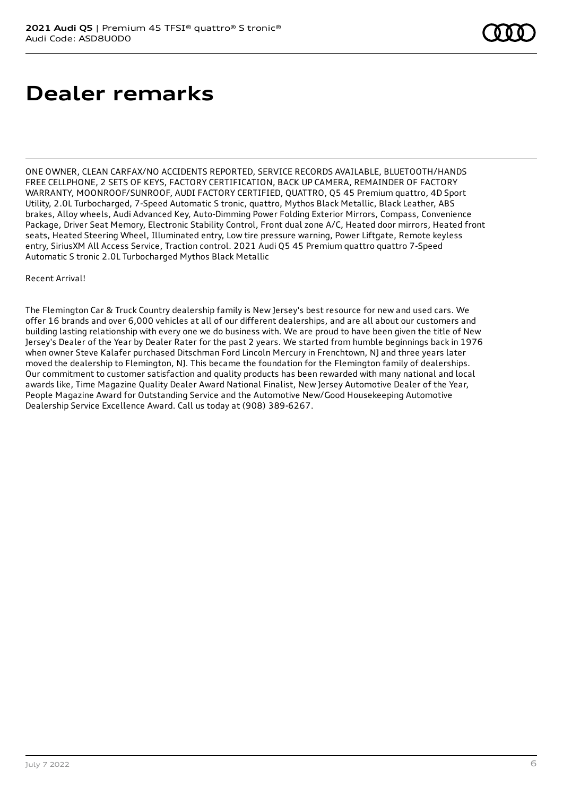## **Dealer remarks**

ONE OWNER, CLEAN CARFAX/NO ACCIDENTS REPORTED, SERVICE RECORDS AVAILABLE, BLUETOOTH/HANDS FREE CELLPHONE, 2 SETS OF KEYS, FACTORY CERTIFICATION, BACK UP CAMERA, REMAINDER OF FACTORY WARRANTY, MOONROOF/SUNROOF, AUDI FACTORY CERTIFIED, QUATTRO, Q5 45 Premium quattro, 4D Sport Utility, 2.0L Turbocharged, 7-Speed Automatic S tronic, quattro, Mythos Black Metallic, Black Leather, ABS brakes, Alloy wheels, Audi Advanced Key, Auto-Dimming Power Folding Exterior Mirrors, Compass, Convenience Package, Driver Seat Memory, Electronic Stability Control, Front dual zone A/C, Heated door mirrors, Heated front seats, Heated Steering Wheel, Illuminated entry, Low tire pressure warning, Power Liftgate, Remote keyless entry, SiriusXM All Access Service, Traction control. 2021 Audi Q5 45 Premium quattro quattro 7-Speed Automatic S tronic 2.0L Turbocharged Mythos Black Metallic

#### Recent Arrival!

The Flemington Car & Truck Country dealership family is New Jersey's best resource for new and used cars. We offer 16 brands and over 6,000 vehicles at all of our different dealerships, and are all about our customers and building lasting relationship with every one we do business with. We are proud to have been given the title of New Jersey's Dealer of the Year by Dealer Rater for the past 2 years. We started from humble beginnings back in 1976 when owner Steve Kalafer purchased Ditschman Ford Lincoln Mercury in Frenchtown, NJ and three years later moved the dealership to Flemington, NJ. This became the foundation for the Flemington family of dealerships. Our commitment to customer satisfaction and quality products has been rewarded with many national and local awards like, Time Magazine Quality Dealer Award National Finalist, New Jersey Automotive Dealer of the Year, People Magazine Award for Outstanding Service and the Automotive New/Good Housekeeping Automotive Dealership Service Excellence Award. Call us today at (908) 389-6267.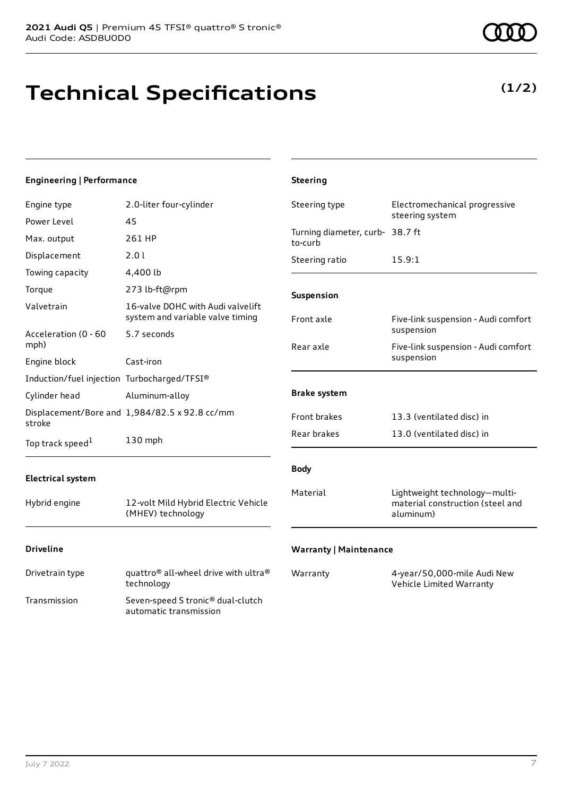# **Technical Specifications**

| <b>Engineering   Performance</b>            |                                                                       | <b>Steering</b>                            |                                                                                |
|---------------------------------------------|-----------------------------------------------------------------------|--------------------------------------------|--------------------------------------------------------------------------------|
| Engine type                                 | 2.0-liter four-cylinder                                               | Steering type                              | Electromechanical progressive                                                  |
| Power Level                                 | 45                                                                    |                                            | steering system                                                                |
| Max. output                                 | 261 HP                                                                | Turning diameter, curb- 38.7 ft<br>to-curb |                                                                                |
| Displacement                                | 2.0 l                                                                 | Steering ratio                             | 15.9:1                                                                         |
| Towing capacity                             | 4,400 lb                                                              |                                            |                                                                                |
| Torque                                      | 273 lb-ft@rpm                                                         | Suspension                                 |                                                                                |
| Valvetrain                                  | 16-valve DOHC with Audi valvelift<br>system and variable valve timing | Front axle                                 | Five-link suspension - Audi comfort                                            |
| Acceleration (0 - 60                        | 5.7 seconds                                                           |                                            | suspension                                                                     |
| mph)                                        |                                                                       | Rear axle                                  | Five-link suspension - Audi comfort                                            |
| Engine block                                | Cast-iron                                                             |                                            | suspension                                                                     |
| Induction/fuel injection Turbocharged/TFSI® |                                                                       |                                            |                                                                                |
| Cylinder head                               | Aluminum-alloy                                                        | <b>Brake system</b>                        |                                                                                |
| stroke                                      | Displacement/Bore and 1,984/82.5 x 92.8 cc/mm                         | Front brakes                               | 13.3 (ventilated disc) in                                                      |
| Top track speed <sup>1</sup>                | 130 mph                                                               | Rear brakes                                | 13.0 (ventilated disc) in                                                      |
| <b>Electrical system</b>                    |                                                                       | <b>Body</b>                                |                                                                                |
| Hybrid engine                               | 12-volt Mild Hybrid Electric Vehicle<br>(MHEV) technology             | Material                                   | Lightweight technology-multi-<br>material construction (steel and<br>aluminum) |
| <b>Driveline</b>                            |                                                                       | <b>Warranty   Maintenance</b>              |                                                                                |

Drivetrain type quattro<sup>®</sup> all-wheel drive with ultra<sup>®</sup> technology Transmission Seven-speed S tronic® dual-clutch

automatic transmission

Warranty 4-year/50,000-mile Audi New Vehicle Limited Warranty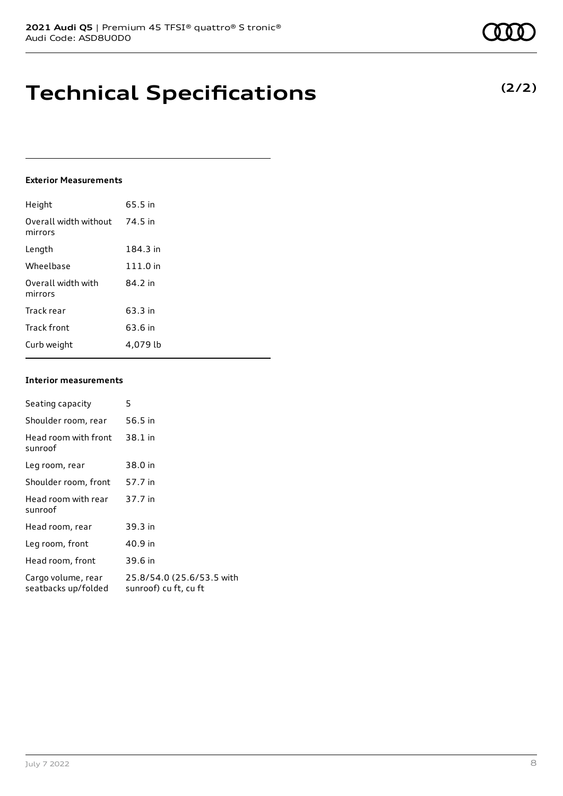## **Technical Specifications**

#### **Exterior Measurements**

| Height                           | 65.5 in  |
|----------------------------------|----------|
| Overall width without<br>mirrors | 74.5 in  |
| Length                           | 184.3 in |
| Wheelbase                        | 111.0 in |
| Overall width with<br>mirrors    | 84.2 in  |
| Track rear                       | 63.3 in  |
| Track front                      | 63.6 in  |
| Curb weight                      | 4.079 lb |

#### **Interior measurements**

| Seating capacity                          | 5                                                  |
|-------------------------------------------|----------------------------------------------------|
| Shoulder room, rear                       | 56.5 in                                            |
| Head room with front<br>sunroof           | 38.1 in                                            |
| Leg room, rear                            | 38.0 in                                            |
| Shoulder room, front                      | 57.7 in                                            |
| Head room with rear<br>sunroof            | 37.7 in                                            |
| Head room, rear                           | 39.3 in                                            |
| Leg room, front                           | 40.9 in                                            |
| Head room, front                          | 39.6 in                                            |
| Cargo volume, rear<br>seatbacks up/folded | 25.8/54.0 (25.6/53.5 with<br>sunroof) cu ft, cu ft |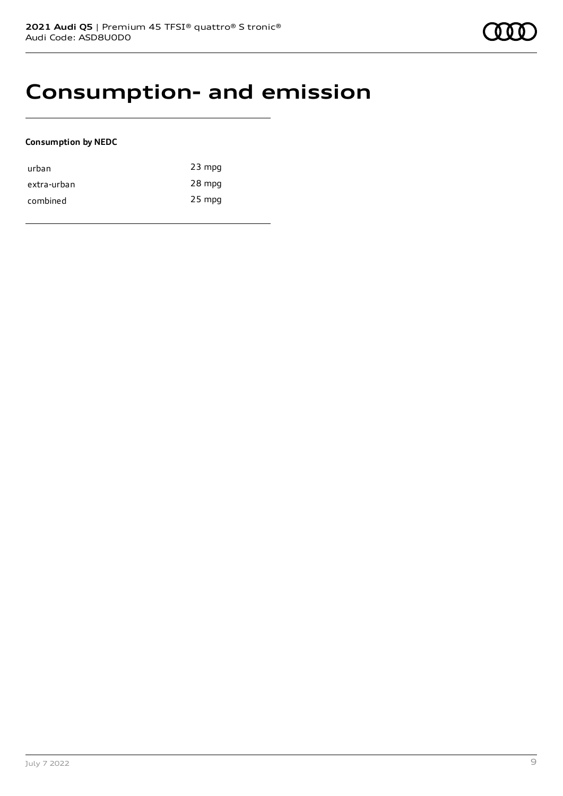### **Consumption- and emission**

#### **Consumption by NEDC**

| urban       | $23$ mpg |
|-------------|----------|
| extra-urban | 28 mpg   |
| combined    | $25$ mpg |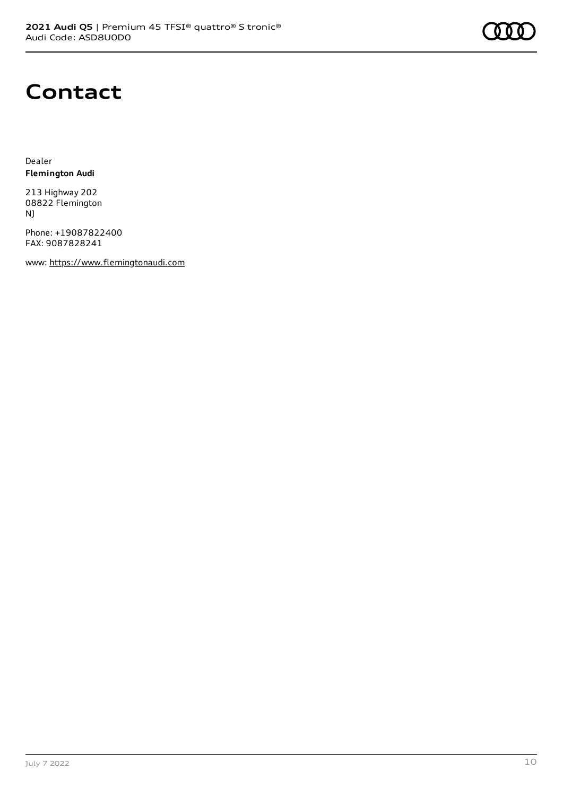

### **Contact**

Dealer **Flemington Audi**

213 Highway 202 08822 Flemington NJ

Phone: +19087822400 FAX: 9087828241

www: [https://www.flemingtonaudi.com](https://www.flemingtonaudi.com/)